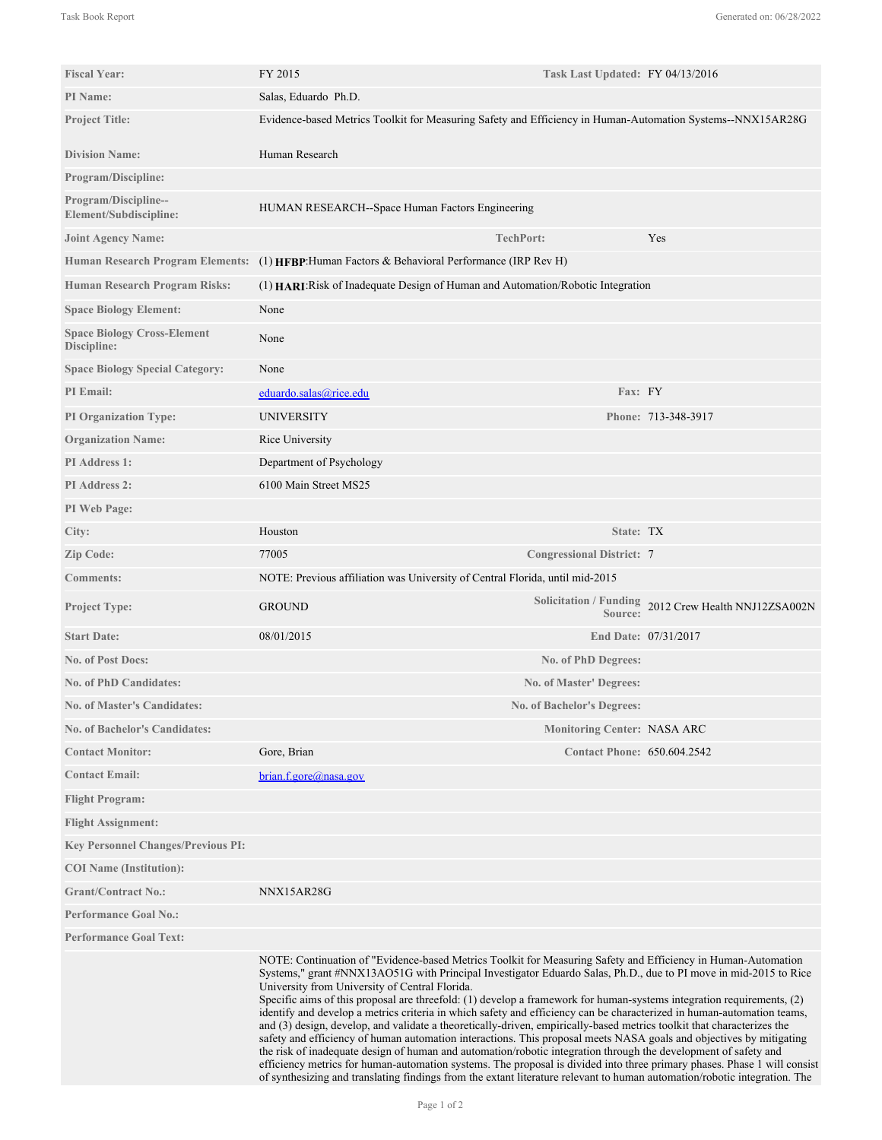| <b>Fiscal Year:</b>                                   | FY 2015<br>Task Last Updated: FY 04/13/2016                                                                                                                                                                                                                                                                                                                                                                                                                                                                                                                                                                                                                                                                                                                                                                                                                                                                                                                                                                                                                                                                                                                         |                                                      |
|-------------------------------------------------------|---------------------------------------------------------------------------------------------------------------------------------------------------------------------------------------------------------------------------------------------------------------------------------------------------------------------------------------------------------------------------------------------------------------------------------------------------------------------------------------------------------------------------------------------------------------------------------------------------------------------------------------------------------------------------------------------------------------------------------------------------------------------------------------------------------------------------------------------------------------------------------------------------------------------------------------------------------------------------------------------------------------------------------------------------------------------------------------------------------------------------------------------------------------------|------------------------------------------------------|
| <b>PI</b> Name:                                       | Salas, Eduardo Ph.D.                                                                                                                                                                                                                                                                                                                                                                                                                                                                                                                                                                                                                                                                                                                                                                                                                                                                                                                                                                                                                                                                                                                                                |                                                      |
| <b>Project Title:</b>                                 | Evidence-based Metrics Toolkit for Measuring Safety and Efficiency in Human-Automation Systems--NNX15AR28G                                                                                                                                                                                                                                                                                                                                                                                                                                                                                                                                                                                                                                                                                                                                                                                                                                                                                                                                                                                                                                                          |                                                      |
| <b>Division Name:</b>                                 | Human Research                                                                                                                                                                                                                                                                                                                                                                                                                                                                                                                                                                                                                                                                                                                                                                                                                                                                                                                                                                                                                                                                                                                                                      |                                                      |
| <b>Program/Discipline:</b>                            |                                                                                                                                                                                                                                                                                                                                                                                                                                                                                                                                                                                                                                                                                                                                                                                                                                                                                                                                                                                                                                                                                                                                                                     |                                                      |
| <b>Program/Discipline--</b><br>Element/Subdiscipline: | HUMAN RESEARCH--Space Human Factors Engineering                                                                                                                                                                                                                                                                                                                                                                                                                                                                                                                                                                                                                                                                                                                                                                                                                                                                                                                                                                                                                                                                                                                     |                                                      |
| <b>Joint Agency Name:</b>                             | <b>TechPort:</b>                                                                                                                                                                                                                                                                                                                                                                                                                                                                                                                                                                                                                                                                                                                                                                                                                                                                                                                                                                                                                                                                                                                                                    | Yes                                                  |
| <b>Human Research Program Elements:</b>               | (1) HFBP: Human Factors & Behavioral Performance (IRP Rev H)                                                                                                                                                                                                                                                                                                                                                                                                                                                                                                                                                                                                                                                                                                                                                                                                                                                                                                                                                                                                                                                                                                        |                                                      |
| <b>Human Research Program Risks:</b>                  | (1) HARI: Risk of Inadequate Design of Human and Automation/Robotic Integration                                                                                                                                                                                                                                                                                                                                                                                                                                                                                                                                                                                                                                                                                                                                                                                                                                                                                                                                                                                                                                                                                     |                                                      |
| <b>Space Biology Element:</b>                         | None                                                                                                                                                                                                                                                                                                                                                                                                                                                                                                                                                                                                                                                                                                                                                                                                                                                                                                                                                                                                                                                                                                                                                                |                                                      |
| <b>Space Biology Cross-Element</b><br>Discipline:     | None                                                                                                                                                                                                                                                                                                                                                                                                                                                                                                                                                                                                                                                                                                                                                                                                                                                                                                                                                                                                                                                                                                                                                                |                                                      |
| <b>Space Biology Special Category:</b>                | None                                                                                                                                                                                                                                                                                                                                                                                                                                                                                                                                                                                                                                                                                                                                                                                                                                                                                                                                                                                                                                                                                                                                                                |                                                      |
| <b>PI</b> Email:                                      | Fax: FY<br>eduardo.salas@rice.edu                                                                                                                                                                                                                                                                                                                                                                                                                                                                                                                                                                                                                                                                                                                                                                                                                                                                                                                                                                                                                                                                                                                                   |                                                      |
| <b>PI Organization Type:</b>                          | UNIVERSITY                                                                                                                                                                                                                                                                                                                                                                                                                                                                                                                                                                                                                                                                                                                                                                                                                                                                                                                                                                                                                                                                                                                                                          | Phone: 713-348-3917                                  |
| <b>Organization Name:</b>                             | Rice University                                                                                                                                                                                                                                                                                                                                                                                                                                                                                                                                                                                                                                                                                                                                                                                                                                                                                                                                                                                                                                                                                                                                                     |                                                      |
| PI Address 1:                                         | Department of Psychology                                                                                                                                                                                                                                                                                                                                                                                                                                                                                                                                                                                                                                                                                                                                                                                                                                                                                                                                                                                                                                                                                                                                            |                                                      |
| PI Address 2:                                         | 6100 Main Street MS25                                                                                                                                                                                                                                                                                                                                                                                                                                                                                                                                                                                                                                                                                                                                                                                                                                                                                                                                                                                                                                                                                                                                               |                                                      |
| PI Web Page:                                          |                                                                                                                                                                                                                                                                                                                                                                                                                                                                                                                                                                                                                                                                                                                                                                                                                                                                                                                                                                                                                                                                                                                                                                     |                                                      |
| City:                                                 | Houston<br>State: TX                                                                                                                                                                                                                                                                                                                                                                                                                                                                                                                                                                                                                                                                                                                                                                                                                                                                                                                                                                                                                                                                                                                                                |                                                      |
| Zip Code:                                             | 77005<br><b>Congressional District: 7</b>                                                                                                                                                                                                                                                                                                                                                                                                                                                                                                                                                                                                                                                                                                                                                                                                                                                                                                                                                                                                                                                                                                                           |                                                      |
| <b>Comments:</b>                                      | NOTE: Previous affiliation was University of Central Florida, until mid-2015                                                                                                                                                                                                                                                                                                                                                                                                                                                                                                                                                                                                                                                                                                                                                                                                                                                                                                                                                                                                                                                                                        |                                                      |
| <b>Project Type:</b>                                  | <b>GROUND</b><br>Source:                                                                                                                                                                                                                                                                                                                                                                                                                                                                                                                                                                                                                                                                                                                                                                                                                                                                                                                                                                                                                                                                                                                                            | Solicitation / Funding 2012 Crew Health NNJ12ZSA002N |
| <b>Start Date:</b>                                    | 08/01/2015                                                                                                                                                                                                                                                                                                                                                                                                                                                                                                                                                                                                                                                                                                                                                                                                                                                                                                                                                                                                                                                                                                                                                          | End Date: 07/31/2017                                 |
| <b>No. of Post Docs:</b>                              | No. of PhD Degrees:                                                                                                                                                                                                                                                                                                                                                                                                                                                                                                                                                                                                                                                                                                                                                                                                                                                                                                                                                                                                                                                                                                                                                 |                                                      |
| <b>No. of PhD Candidates:</b>                         | <b>No. of Master' Degrees:</b>                                                                                                                                                                                                                                                                                                                                                                                                                                                                                                                                                                                                                                                                                                                                                                                                                                                                                                                                                                                                                                                                                                                                      |                                                      |
| <b>No. of Master's Candidates:</b>                    | No. of Bachelor's Degrees:                                                                                                                                                                                                                                                                                                                                                                                                                                                                                                                                                                                                                                                                                                                                                                                                                                                                                                                                                                                                                                                                                                                                          |                                                      |
| No. of Bachelor's Candidates:                         | <b>Monitoring Center: NASA ARC</b>                                                                                                                                                                                                                                                                                                                                                                                                                                                                                                                                                                                                                                                                                                                                                                                                                                                                                                                                                                                                                                                                                                                                  |                                                      |
| <b>Contact Monitor:</b>                               | Gore, Brian<br><b>Contact Phone: 650.604.2542</b>                                                                                                                                                                                                                                                                                                                                                                                                                                                                                                                                                                                                                                                                                                                                                                                                                                                                                                                                                                                                                                                                                                                   |                                                      |
| <b>Contact Email:</b>                                 | brain.f.gore@nasa.gov                                                                                                                                                                                                                                                                                                                                                                                                                                                                                                                                                                                                                                                                                                                                                                                                                                                                                                                                                                                                                                                                                                                                               |                                                      |
| <b>Flight Program:</b>                                |                                                                                                                                                                                                                                                                                                                                                                                                                                                                                                                                                                                                                                                                                                                                                                                                                                                                                                                                                                                                                                                                                                                                                                     |                                                      |
| <b>Flight Assignment:</b>                             |                                                                                                                                                                                                                                                                                                                                                                                                                                                                                                                                                                                                                                                                                                                                                                                                                                                                                                                                                                                                                                                                                                                                                                     |                                                      |
| <b>Key Personnel Changes/Previous PI:</b>             |                                                                                                                                                                                                                                                                                                                                                                                                                                                                                                                                                                                                                                                                                                                                                                                                                                                                                                                                                                                                                                                                                                                                                                     |                                                      |
| <b>COI</b> Name (Institution):                        |                                                                                                                                                                                                                                                                                                                                                                                                                                                                                                                                                                                                                                                                                                                                                                                                                                                                                                                                                                                                                                                                                                                                                                     |                                                      |
| <b>Grant/Contract No.:</b>                            | NNX15AR28G                                                                                                                                                                                                                                                                                                                                                                                                                                                                                                                                                                                                                                                                                                                                                                                                                                                                                                                                                                                                                                                                                                                                                          |                                                      |
| <b>Performance Goal No.:</b>                          |                                                                                                                                                                                                                                                                                                                                                                                                                                                                                                                                                                                                                                                                                                                                                                                                                                                                                                                                                                                                                                                                                                                                                                     |                                                      |
| <b>Performance Goal Text:</b>                         |                                                                                                                                                                                                                                                                                                                                                                                                                                                                                                                                                                                                                                                                                                                                                                                                                                                                                                                                                                                                                                                                                                                                                                     |                                                      |
|                                                       | NOTE: Continuation of "Evidence-based Metrics Toolkit for Measuring Safety and Efficiency in Human-Automation<br>Systems," grant #NNX13AO51G with Principal Investigator Eduardo Salas, Ph.D., due to PI move in mid-2015 to Rice<br>University from University of Central Florida.<br>Specific aims of this proposal are threefold: (1) develop a framework for human-systems integration requirements, (2)<br>identify and develop a metrics criteria in which safety and efficiency can be characterized in human-automation teams,<br>and (3) design, develop, and validate a theoretically-driven, empirically-based metrics toolkit that characterizes the<br>safety and efficiency of human automation interactions. This proposal meets NASA goals and objectives by mitigating<br>the risk of inadequate design of human and automation/robotic integration through the development of safety and<br>efficiency metrics for human-automation systems. The proposal is divided into three primary phases. Phase 1 will consist<br>of synthesizing and translating findings from the extant literature relevant to human automation/robotic integration. The |                                                      |